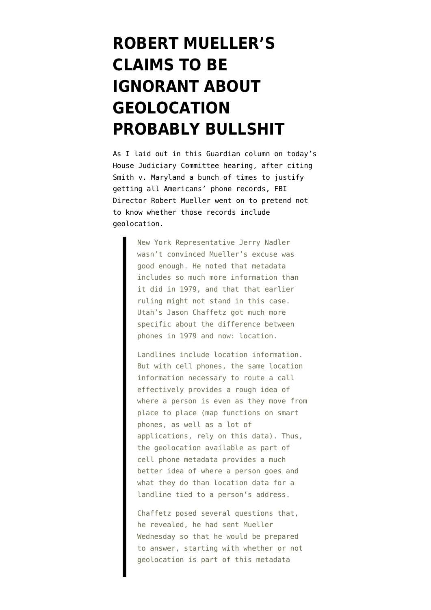## **[ROBERT MUELLER'S](https://www.emptywheel.net/2013/06/13/muellers-claims-to-be-ignorant-about-geolocation-probably-bullshit/) [CLAIMS TO BE](https://www.emptywheel.net/2013/06/13/muellers-claims-to-be-ignorant-about-geolocation-probably-bullshit/) [IGNORANT ABOUT](https://www.emptywheel.net/2013/06/13/muellers-claims-to-be-ignorant-about-geolocation-probably-bullshit/) [GEOLOCATION](https://www.emptywheel.net/2013/06/13/muellers-claims-to-be-ignorant-about-geolocation-probably-bullshit/) [PROBABLY BULLSHIT](https://www.emptywheel.net/2013/06/13/muellers-claims-to-be-ignorant-about-geolocation-probably-bullshit/)**

As I laid out in [this Guardian column](http://www.guardian.co.uk/commentisfree/2013/jun/13/robert-mueller-metadata) on today's House Judiciary Committee hearing, after citing [Smith v. Maryland](http://supreme.justia.com/cases/federal/us/442/735/) a bunch of times to justify getting all Americans' phone records, FBI Director Robert Mueller went on to pretend not to know whether those records include geolocation.

> New York Representative Jerry Nadler wasn't convinced Mueller's excuse was good enough. He noted that metadata includes so much more information than it did in 1979, and that that earlier ruling might not stand in this case. Utah's Jason Chaffetz got much more specific about the difference between phones in 1979 and now: location.

Landlines include location information. But with cell phones, the same location information necessary to route a call effectively provides a rough idea of where a person is even as they move from place to place (map functions on smart phones, as well as a lot of applications, rely on this data). Thus, the geolocation available as part of cell phone metadata provides a much better idea of where a person goes and what they do than location data for a landline tied to a person's address.

Chaffetz posed several questions that, he revealed, he had sent Mueller Wednesday so that he would be prepared to answer, starting with whether or not geolocation is part of this metadata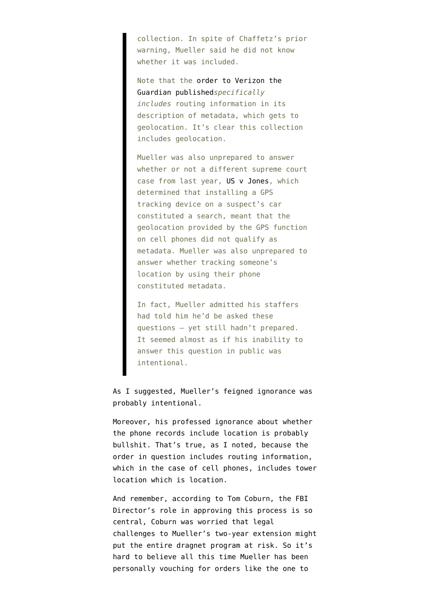collection. In spite of Chaffetz's prior warning, Mueller said he did not know whether it was included.

Note that the [order to Verizon the](http://www.guardian.co.uk/world/interactive/2013/jun/06/verizon-telephone-data-court-order) [Guardian published](http://www.guardian.co.uk/world/interactive/2013/jun/06/verizon-telephone-data-court-order)*specifically includes* routing information in its description of metadata, which gets to geolocation. It's clear this collection includes geolocation.

Mueller was also unprepared to answer whether or not a different supreme court case from last year, [US v Jones,](http://www.law.cornell.edu/supremecourt/text/10-1259) which determined that installing a GPS tracking device on a suspect's car constituted a search, meant that the geolocation provided by the GPS function on cell phones did not qualify as metadata. Mueller was also unprepared to answer whether tracking someone's location by using their phone constituted metadata.

In fact, Mueller admitted his staffers had told him he'd be asked these questions – yet still hadn't prepared. It seemed almost as if his inability to answer this question in public was intentional.

## As I suggested, Mueller's feigned ignorance was probably intentional.

Moreover, his professed ignorance about whether the phone records include location is probably bullshit. That's true, as I noted, because the order in question includes routing information, which in the case of cell phones, includes tower location which is location.

And remember, according to Tom Coburn, the FBI Director's role in approving this process is so central, Coburn [was worried](http://www.emptywheel.net/2011/06/08/tom-coburn-suggests-problems-with-use-of-patriot-act-section-215-will-be-big-court-battle/) that legal challenges to Mueller's two-year extension might put the entire dragnet program at risk. So it's hard to believe all this time Mueller has been personally vouching for orders like the one to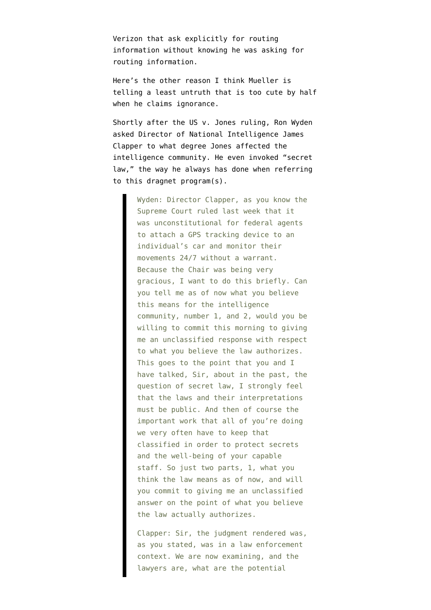Verizon that ask explicitly for routing information without knowing he was asking for routing information.

Here's the other reason I think Mueller is telling a least untruth that is too cute by half when he claims ignorance.

Shortly after the US v. Jones ruling, Ron Wyden [asked](http://www.emptywheel.net/2012/02/01/ron-wyden-suggests-secret-patriot-gps-tracking-may-be-illegal-under-jones/) Director of National Intelligence James Clapper to what degree Jones affected the intelligence community. He even invoked "secret law," the way he always has done when referring to this dragnet program(s).

> Wyden: Director Clapper, as you know the Supreme Court ruled last week that it was unconstitutional for federal agents to attach a GPS tracking device to an individual's car and monitor their movements 24/7 without a warrant. Because the Chair was being very gracious, I want to do this briefly. Can you tell me as of now what you believe this means for the intelligence community, number 1, and 2, would you be willing to commit this morning to giving me an unclassified response with respect to what you believe the law authorizes. This goes to the point that you and I have talked, Sir, about in the past, the question of secret law, I strongly feel that the laws and their interpretations must be public. And then of course the important work that all of you're doing we very often have to keep that classified in order to protect secrets and the well-being of your capable staff. So just two parts, 1, what you think the law means as of now, and will you commit to giving me an unclassified answer on the point of what you believe the law actually authorizes.

> Clapper: Sir, the judgment rendered was, as you stated, was in a law enforcement context. We are now examining, and the lawyers are, what are the potential